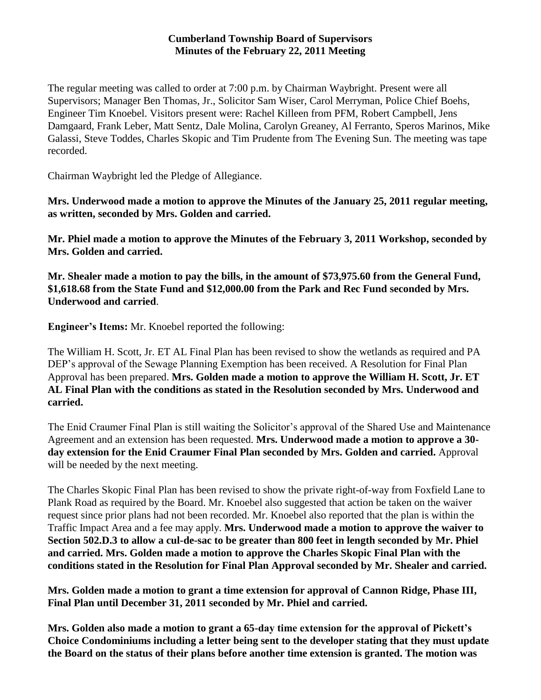### **Cumberland Township Board of Supervisors Minutes of the February 22, 2011 Meeting**

The regular meeting was called to order at 7:00 p.m. by Chairman Waybright. Present were all Supervisors; Manager Ben Thomas, Jr., Solicitor Sam Wiser, Carol Merryman, Police Chief Boehs, Engineer Tim Knoebel. Visitors present were: Rachel Killeen from PFM, Robert Campbell, Jens Damgaard, Frank Leber, Matt Sentz, Dale Molina, Carolyn Greaney, Al Ferranto, Speros Marinos, Mike Galassi, Steve Toddes, Charles Skopic and Tim Prudente from The Evening Sun. The meeting was tape recorded.

Chairman Waybright led the Pledge of Allegiance.

**Mrs. Underwood made a motion to approve the Minutes of the January 25, 2011 regular meeting, as written, seconded by Mrs. Golden and carried.**

**Mr. Phiel made a motion to approve the Minutes of the February 3, 2011 Workshop, seconded by Mrs. Golden and carried.**

**Mr. Shealer made a motion to pay the bills, in the amount of \$73,975.60 from the General Fund, \$1,618.68 from the State Fund and \$12,000.00 from the Park and Rec Fund seconded by Mrs. Underwood and carried**.

**Engineer's Items:** Mr. Knoebel reported the following:

The William H. Scott, Jr. ET AL Final Plan has been revised to show the wetlands as required and PA DEP's approval of the Sewage Planning Exemption has been received. A Resolution for Final Plan Approval has been prepared. **Mrs. Golden made a motion to approve the William H. Scott, Jr. ET AL Final Plan with the conditions as stated in the Resolution seconded by Mrs. Underwood and carried.**

The Enid Craumer Final Plan is still waiting the Solicitor's approval of the Shared Use and Maintenance Agreement and an extension has been requested. **Mrs. Underwood made a motion to approve a 30 day extension for the Enid Craumer Final Plan seconded by Mrs. Golden and carried.** Approval will be needed by the next meeting.

The Charles Skopic Final Plan has been revised to show the private right-of-way from Foxfield Lane to Plank Road as required by the Board. Mr. Knoebel also suggested that action be taken on the waiver request since prior plans had not been recorded. Mr. Knoebel also reported that the plan is within the Traffic Impact Area and a fee may apply. **Mrs. Underwood made a motion to approve the waiver to Section 502.D.3 to allow a cul-de-sac to be greater than 800 feet in length seconded by Mr. Phiel and carried. Mrs. Golden made a motion to approve the Charles Skopic Final Plan with the conditions stated in the Resolution for Final Plan Approval seconded by Mr. Shealer and carried.**

**Mrs. Golden made a motion to grant a time extension for approval of Cannon Ridge, Phase III, Final Plan until December 31, 2011 seconded by Mr. Phiel and carried.**

**Mrs. Golden also made a motion to grant a 65-day time extension for the approval of Pickett's Choice Condominiums including a letter being sent to the developer stating that they must update the Board on the status of their plans before another time extension is granted. The motion was**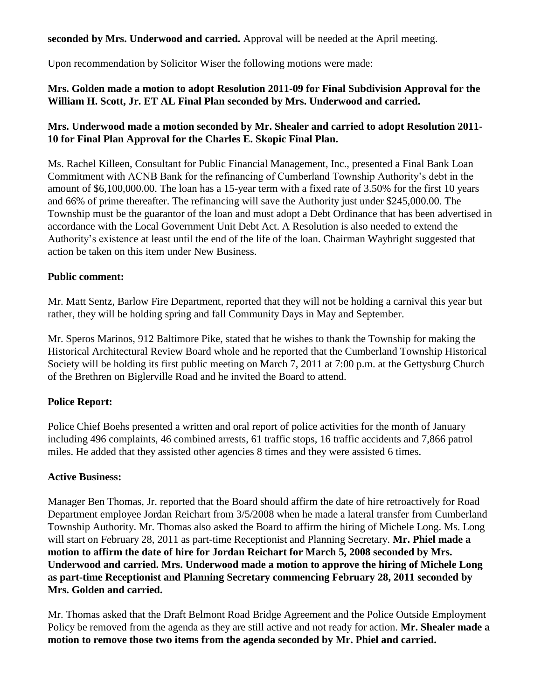# **seconded by Mrs. Underwood and carried.** Approval will be needed at the April meeting.

Upon recommendation by Solicitor Wiser the following motions were made:

### **Mrs. Golden made a motion to adopt Resolution 2011-09 for Final Subdivision Approval for the William H. Scott, Jr. ET AL Final Plan seconded by Mrs. Underwood and carried.**

# **Mrs. Underwood made a motion seconded by Mr. Shealer and carried to adopt Resolution 2011- 10 for Final Plan Approval for the Charles E. Skopic Final Plan.**

Ms. Rachel Killeen, Consultant for Public Financial Management, Inc., presented a Final Bank Loan Commitment with ACNB Bank for the refinancing of Cumberland Township Authority's debt in the amount of \$6,100,000.00. The loan has a 15-year term with a fixed rate of 3.50% for the first 10 years and 66% of prime thereafter. The refinancing will save the Authority just under \$245,000.00. The Township must be the guarantor of the loan and must adopt a Debt Ordinance that has been advertised in accordance with the Local Government Unit Debt Act. A Resolution is also needed to extend the Authority's existence at least until the end of the life of the loan. Chairman Waybright suggested that action be taken on this item under New Business.

### **Public comment:**

Mr. Matt Sentz, Barlow Fire Department, reported that they will not be holding a carnival this year but rather, they will be holding spring and fall Community Days in May and September.

Mr. Speros Marinos, 912 Baltimore Pike, stated that he wishes to thank the Township for making the Historical Architectural Review Board whole and he reported that the Cumberland Township Historical Society will be holding its first public meeting on March 7, 2011 at 7:00 p.m. at the Gettysburg Church of the Brethren on Biglerville Road and he invited the Board to attend.

### **Police Report:**

Police Chief Boehs presented a written and oral report of police activities for the month of January including 496 complaints, 46 combined arrests, 61 traffic stops, 16 traffic accidents and 7,866 patrol miles. He added that they assisted other agencies 8 times and they were assisted 6 times.

### **Active Business:**

Manager Ben Thomas, Jr. reported that the Board should affirm the date of hire retroactively for Road Department employee Jordan Reichart from 3/5/2008 when he made a lateral transfer from Cumberland Township Authority. Mr. Thomas also asked the Board to affirm the hiring of Michele Long. Ms. Long will start on February 28, 2011 as part-time Receptionist and Planning Secretary. **Mr. Phiel made a motion to affirm the date of hire for Jordan Reichart for March 5, 2008 seconded by Mrs. Underwood and carried. Mrs. Underwood made a motion to approve the hiring of Michele Long as part-time Receptionist and Planning Secretary commencing February 28, 2011 seconded by Mrs. Golden and carried.**

Mr. Thomas asked that the Draft Belmont Road Bridge Agreement and the Police Outside Employment Policy be removed from the agenda as they are still active and not ready for action. **Mr. Shealer made a motion to remove those two items from the agenda seconded by Mr. Phiel and carried.**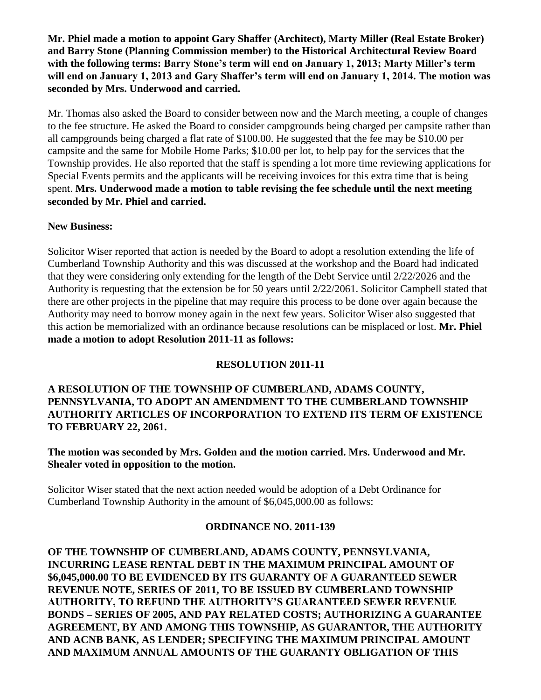**Mr. Phiel made a motion to appoint Gary Shaffer (Architect), Marty Miller (Real Estate Broker) and Barry Stone (Planning Commission member) to the Historical Architectural Review Board with the following terms: Barry Stone's term will end on January 1, 2013; Marty Miller's term will end on January 1, 2013 and Gary Shaffer's term will end on January 1, 2014. The motion was seconded by Mrs. Underwood and carried.**

Mr. Thomas also asked the Board to consider between now and the March meeting, a couple of changes to the fee structure. He asked the Board to consider campgrounds being charged per campsite rather than all campgrounds being charged a flat rate of \$100.00. He suggested that the fee may be \$10.00 per campsite and the same for Mobile Home Parks; \$10.00 per lot, to help pay for the services that the Township provides. He also reported that the staff is spending a lot more time reviewing applications for Special Events permits and the applicants will be receiving invoices for this extra time that is being spent. **Mrs. Underwood made a motion to table revising the fee schedule until the next meeting seconded by Mr. Phiel and carried.**

### **New Business:**

Solicitor Wiser reported that action is needed by the Board to adopt a resolution extending the life of Cumberland Township Authority and this was discussed at the workshop and the Board had indicated that they were considering only extending for the length of the Debt Service until 2/22/2026 and the Authority is requesting that the extension be for 50 years until 2/22/2061. Solicitor Campbell stated that there are other projects in the pipeline that may require this process to be done over again because the Authority may need to borrow money again in the next few years. Solicitor Wiser also suggested that this action be memorialized with an ordinance because resolutions can be misplaced or lost. **Mr. Phiel made a motion to adopt Resolution 2011-11 as follows:**

### **RESOLUTION 2011-11**

#### **A RESOLUTION OF THE TOWNSHIP OF CUMBERLAND, ADAMS COUNTY, PENNSYLVANIA, TO ADOPT AN AMENDMENT TO THE CUMBERLAND TOWNSHIP AUTHORITY ARTICLES OF INCORPORATION TO EXTEND ITS TERM OF EXISTENCE TO FEBRUARY 22, 2061.**

**The motion was seconded by Mrs. Golden and the motion carried. Mrs. Underwood and Mr. Shealer voted in opposition to the motion.** 

Solicitor Wiser stated that the next action needed would be adoption of a Debt Ordinance for Cumberland Township Authority in the amount of \$6,045,000.00 as follows:

### **ORDINANCE NO. 2011-139**

**OF THE TOWNSHIP OF CUMBERLAND, ADAMS COUNTY, PENNSYLVANIA, INCURRING LEASE RENTAL DEBT IN THE MAXIMUM PRINCIPAL AMOUNT OF \$6,045,000.00 TO BE EVIDENCED BY ITS GUARANTY OF A GUARANTEED SEWER REVENUE NOTE, SERIES OF 2011, TO BE ISSUED BY CUMBERLAND TOWNSHIP AUTHORITY, TO REFUND THE AUTHORITY'S GUARANTEED SEWER REVENUE BONDS – SERIES OF 2005, AND PAY RELATED COSTS; AUTHORIZING A GUARANTEE AGREEMENT, BY AND AMONG THIS TOWNSHIP, AS GUARANTOR, THE AUTHORITY AND ACNB BANK, AS LENDER; SPECIFYING THE MAXIMUM PRINCIPAL AMOUNT AND MAXIMUM ANNUAL AMOUNTS OF THE GUARANTY OBLIGATION OF THIS**